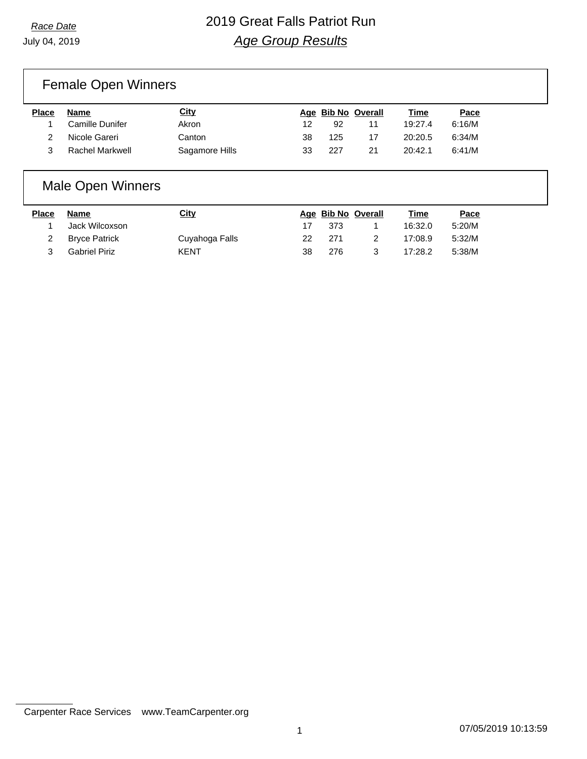### *Race Date* 2019 Great Falls Patriot Run *Age Group Results*

### Female Open Winners

| Place | Name            | <u>City</u>    |    | Age Bib No Overall |    | Time    | Pace   |
|-------|-----------------|----------------|----|--------------------|----|---------|--------|
|       | Camille Dunifer | Akron          | 12 | -92                |    | 19:27.4 | 6:16/M |
|       | Nicole Gareri   | Canton         | 38 | 125                |    | 20:20.5 | 6:34/M |
|       | Rachel Markwell | Sagamore Hills | 33 | 227                | 21 | 20:42.1 | 6:41/M |

#### Male Open Winners

| <b>Place</b> | Name                 | City           |    | Age Bib No Overall |   | Time    | Pace   |
|--------------|----------------------|----------------|----|--------------------|---|---------|--------|
|              | Jack Wilcoxson       |                | 17 | 373                |   | 16:32.0 | 5:20/M |
|              | 2 Bryce Patrick      | Cuyahoga Falls | 22 | 271                |   | 17:08.9 | 5:32/M |
|              | <b>Gabriel Piriz</b> | KENT           | 38 | 276                | 3 | 17:28.2 | 5:38/M |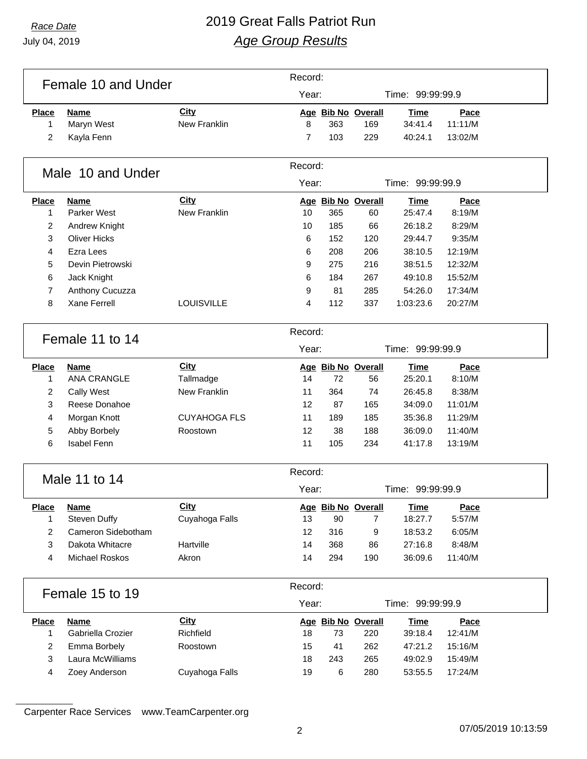### *Race Date* 2019 Great Falls Patriot Run *Age Group Results*

| Year:<br>Time: 99:99:99.9<br>City<br>Age Bib No Overall<br><b>Place</b><br><b>Name</b><br>Time<br>Pace<br><b>New Franklin</b><br>8<br>363<br>11:11/M<br>1<br>Maryn West<br>169<br>34:41.4<br>2<br>103<br>229<br>Kayla Fenn<br>$\overline{7}$<br>40:24.1<br>13:02/M<br>Record:<br>Male 10 and Under<br>Year:<br>Time: 99:99:99.9<br>City<br>Age Bib No Overall<br><b>Time</b><br>Pace<br><b>Place</b><br><b>Name</b><br>New Franklin<br>Parker West<br>10<br>365<br>25:47.4<br>8:19/M<br>1<br>60<br>$\overline{2}$<br>Andrew Knight<br>10<br>185<br>66<br>26:18.2<br>8:29/M<br>3<br><b>Oliver Hicks</b><br>6<br>152<br>120<br>29:44.7<br>9:35/M<br><b>Ezra Lees</b><br>4<br>208<br>206<br>38:10.5<br>12:19/M<br>6<br>5<br>Devin Pietrowski<br>275<br>216<br>38:51.5<br>12:32/M<br>9<br>6<br>267<br>15:52/M<br>Jack Knight<br>184<br>49:10.8<br>6<br>$\overline{7}$<br>Anthony Cucuzza<br>81<br>285<br>17:34/M<br>9<br>54:26.0<br><b>Xane Ferrell</b><br>8<br>112<br><b>LOUISVILLE</b><br>4<br>337<br>1:03:23.6<br>20:27/M<br>Record:<br>Female 11 to 14<br>Year:<br>Time: 99:99:99.9<br><b>City</b><br>Age Bib No Overall<br>Pace<br><b>Place</b><br><b>Name</b><br>Time<br><b>ANA CRANGLE</b><br>25:20.1<br>Tallmadge<br>14<br>72<br>56<br>8:10/M<br>1<br>2<br>New Franklin<br>Cally West<br>11<br>364<br>74<br>26:45.8<br>8:38/M<br>3<br>Reese Donahoe<br>11:01/M<br>12<br>87<br>165<br>34:09.0<br><b>CUYAHOGA FLS</b><br>4<br>Morgan Knott<br>11<br>189<br>185<br>35:36.8<br>11:29/M<br>5<br>Abby Borbely<br>12<br>38<br>188<br>36:09.0<br>11:40/M<br>Roostown<br>6<br><b>Isabel Fenn</b><br>11<br>105<br>234<br>41:17.8<br>13:19/M<br>Record:<br>Male 11 to 14<br>Year:<br>Time: 99:99:99.9<br>City<br><b>Place</b><br>Name<br>Age Bib No Overall<br><b>Time</b><br>Pace<br>Steven Duffy<br>Cuyahoga Falls<br>5:57/M<br>13<br>90<br>18:27.7<br>1<br>$\overline{7}$<br>$\overline{2}$<br>Cameron Sidebotham<br>316<br>18:53.2<br>12<br>9<br>6:05/M<br>3<br>Dakota Whitacre<br>Hartville<br>14<br>368<br>27:16.8<br>86<br>8:48/M<br>4<br>Michael Roskos<br>Akron<br>14<br>294<br>190<br>36:09.6<br>11:40/M<br>Record:<br>Female 15 to 19<br>Year:<br>Time: 99:99:99.9<br>Age Bib No Overall |              | Female 10 and Under | Record:     |  |  |  |             |      |  |
|----------------------------------------------------------------------------------------------------------------------------------------------------------------------------------------------------------------------------------------------------------------------------------------------------------------------------------------------------------------------------------------------------------------------------------------------------------------------------------------------------------------------------------------------------------------------------------------------------------------------------------------------------------------------------------------------------------------------------------------------------------------------------------------------------------------------------------------------------------------------------------------------------------------------------------------------------------------------------------------------------------------------------------------------------------------------------------------------------------------------------------------------------------------------------------------------------------------------------------------------------------------------------------------------------------------------------------------------------------------------------------------------------------------------------------------------------------------------------------------------------------------------------------------------------------------------------------------------------------------------------------------------------------------------------------------------------------------------------------------------------------------------------------------------------------------------------------------------------------------------------------------------------------------------------------------------------------------------------------------------------------------------------------------------------------------------------------------------------------------------------------------------------------------------------------------------|--------------|---------------------|-------------|--|--|--|-------------|------|--|
|                                                                                                                                                                                                                                                                                                                                                                                                                                                                                                                                                                                                                                                                                                                                                                                                                                                                                                                                                                                                                                                                                                                                                                                                                                                                                                                                                                                                                                                                                                                                                                                                                                                                                                                                                                                                                                                                                                                                                                                                                                                                                                                                                                                              |              |                     |             |  |  |  |             |      |  |
|                                                                                                                                                                                                                                                                                                                                                                                                                                                                                                                                                                                                                                                                                                                                                                                                                                                                                                                                                                                                                                                                                                                                                                                                                                                                                                                                                                                                                                                                                                                                                                                                                                                                                                                                                                                                                                                                                                                                                                                                                                                                                                                                                                                              |              |                     |             |  |  |  |             |      |  |
|                                                                                                                                                                                                                                                                                                                                                                                                                                                                                                                                                                                                                                                                                                                                                                                                                                                                                                                                                                                                                                                                                                                                                                                                                                                                                                                                                                                                                                                                                                                                                                                                                                                                                                                                                                                                                                                                                                                                                                                                                                                                                                                                                                                              |              |                     |             |  |  |  |             |      |  |
|                                                                                                                                                                                                                                                                                                                                                                                                                                                                                                                                                                                                                                                                                                                                                                                                                                                                                                                                                                                                                                                                                                                                                                                                                                                                                                                                                                                                                                                                                                                                                                                                                                                                                                                                                                                                                                                                                                                                                                                                                                                                                                                                                                                              |              |                     |             |  |  |  |             |      |  |
|                                                                                                                                                                                                                                                                                                                                                                                                                                                                                                                                                                                                                                                                                                                                                                                                                                                                                                                                                                                                                                                                                                                                                                                                                                                                                                                                                                                                                                                                                                                                                                                                                                                                                                                                                                                                                                                                                                                                                                                                                                                                                                                                                                                              |              |                     |             |  |  |  |             |      |  |
|                                                                                                                                                                                                                                                                                                                                                                                                                                                                                                                                                                                                                                                                                                                                                                                                                                                                                                                                                                                                                                                                                                                                                                                                                                                                                                                                                                                                                                                                                                                                                                                                                                                                                                                                                                                                                                                                                                                                                                                                                                                                                                                                                                                              |              |                     |             |  |  |  |             |      |  |
|                                                                                                                                                                                                                                                                                                                                                                                                                                                                                                                                                                                                                                                                                                                                                                                                                                                                                                                                                                                                                                                                                                                                                                                                                                                                                                                                                                                                                                                                                                                                                                                                                                                                                                                                                                                                                                                                                                                                                                                                                                                                                                                                                                                              |              |                     |             |  |  |  |             |      |  |
|                                                                                                                                                                                                                                                                                                                                                                                                                                                                                                                                                                                                                                                                                                                                                                                                                                                                                                                                                                                                                                                                                                                                                                                                                                                                                                                                                                                                                                                                                                                                                                                                                                                                                                                                                                                                                                                                                                                                                                                                                                                                                                                                                                                              |              |                     |             |  |  |  |             |      |  |
|                                                                                                                                                                                                                                                                                                                                                                                                                                                                                                                                                                                                                                                                                                                                                                                                                                                                                                                                                                                                                                                                                                                                                                                                                                                                                                                                                                                                                                                                                                                                                                                                                                                                                                                                                                                                                                                                                                                                                                                                                                                                                                                                                                                              |              |                     |             |  |  |  |             |      |  |
|                                                                                                                                                                                                                                                                                                                                                                                                                                                                                                                                                                                                                                                                                                                                                                                                                                                                                                                                                                                                                                                                                                                                                                                                                                                                                                                                                                                                                                                                                                                                                                                                                                                                                                                                                                                                                                                                                                                                                                                                                                                                                                                                                                                              |              |                     |             |  |  |  |             |      |  |
|                                                                                                                                                                                                                                                                                                                                                                                                                                                                                                                                                                                                                                                                                                                                                                                                                                                                                                                                                                                                                                                                                                                                                                                                                                                                                                                                                                                                                                                                                                                                                                                                                                                                                                                                                                                                                                                                                                                                                                                                                                                                                                                                                                                              |              |                     |             |  |  |  |             |      |  |
|                                                                                                                                                                                                                                                                                                                                                                                                                                                                                                                                                                                                                                                                                                                                                                                                                                                                                                                                                                                                                                                                                                                                                                                                                                                                                                                                                                                                                                                                                                                                                                                                                                                                                                                                                                                                                                                                                                                                                                                                                                                                                                                                                                                              |              |                     |             |  |  |  |             |      |  |
|                                                                                                                                                                                                                                                                                                                                                                                                                                                                                                                                                                                                                                                                                                                                                                                                                                                                                                                                                                                                                                                                                                                                                                                                                                                                                                                                                                                                                                                                                                                                                                                                                                                                                                                                                                                                                                                                                                                                                                                                                                                                                                                                                                                              |              |                     |             |  |  |  |             |      |  |
|                                                                                                                                                                                                                                                                                                                                                                                                                                                                                                                                                                                                                                                                                                                                                                                                                                                                                                                                                                                                                                                                                                                                                                                                                                                                                                                                                                                                                                                                                                                                                                                                                                                                                                                                                                                                                                                                                                                                                                                                                                                                                                                                                                                              |              |                     |             |  |  |  |             |      |  |
|                                                                                                                                                                                                                                                                                                                                                                                                                                                                                                                                                                                                                                                                                                                                                                                                                                                                                                                                                                                                                                                                                                                                                                                                                                                                                                                                                                                                                                                                                                                                                                                                                                                                                                                                                                                                                                                                                                                                                                                                                                                                                                                                                                                              |              |                     |             |  |  |  |             |      |  |
|                                                                                                                                                                                                                                                                                                                                                                                                                                                                                                                                                                                                                                                                                                                                                                                                                                                                                                                                                                                                                                                                                                                                                                                                                                                                                                                                                                                                                                                                                                                                                                                                                                                                                                                                                                                                                                                                                                                                                                                                                                                                                                                                                                                              |              |                     |             |  |  |  |             |      |  |
|                                                                                                                                                                                                                                                                                                                                                                                                                                                                                                                                                                                                                                                                                                                                                                                                                                                                                                                                                                                                                                                                                                                                                                                                                                                                                                                                                                                                                                                                                                                                                                                                                                                                                                                                                                                                                                                                                                                                                                                                                                                                                                                                                                                              |              |                     |             |  |  |  |             |      |  |
|                                                                                                                                                                                                                                                                                                                                                                                                                                                                                                                                                                                                                                                                                                                                                                                                                                                                                                                                                                                                                                                                                                                                                                                                                                                                                                                                                                                                                                                                                                                                                                                                                                                                                                                                                                                                                                                                                                                                                                                                                                                                                                                                                                                              |              |                     |             |  |  |  |             |      |  |
|                                                                                                                                                                                                                                                                                                                                                                                                                                                                                                                                                                                                                                                                                                                                                                                                                                                                                                                                                                                                                                                                                                                                                                                                                                                                                                                                                                                                                                                                                                                                                                                                                                                                                                                                                                                                                                                                                                                                                                                                                                                                                                                                                                                              |              |                     |             |  |  |  |             |      |  |
|                                                                                                                                                                                                                                                                                                                                                                                                                                                                                                                                                                                                                                                                                                                                                                                                                                                                                                                                                                                                                                                                                                                                                                                                                                                                                                                                                                                                                                                                                                                                                                                                                                                                                                                                                                                                                                                                                                                                                                                                                                                                                                                                                                                              |              |                     |             |  |  |  |             |      |  |
|                                                                                                                                                                                                                                                                                                                                                                                                                                                                                                                                                                                                                                                                                                                                                                                                                                                                                                                                                                                                                                                                                                                                                                                                                                                                                                                                                                                                                                                                                                                                                                                                                                                                                                                                                                                                                                                                                                                                                                                                                                                                                                                                                                                              |              |                     |             |  |  |  |             |      |  |
|                                                                                                                                                                                                                                                                                                                                                                                                                                                                                                                                                                                                                                                                                                                                                                                                                                                                                                                                                                                                                                                                                                                                                                                                                                                                                                                                                                                                                                                                                                                                                                                                                                                                                                                                                                                                                                                                                                                                                                                                                                                                                                                                                                                              |              |                     |             |  |  |  |             |      |  |
|                                                                                                                                                                                                                                                                                                                                                                                                                                                                                                                                                                                                                                                                                                                                                                                                                                                                                                                                                                                                                                                                                                                                                                                                                                                                                                                                                                                                                                                                                                                                                                                                                                                                                                                                                                                                                                                                                                                                                                                                                                                                                                                                                                                              |              |                     |             |  |  |  |             |      |  |
|                                                                                                                                                                                                                                                                                                                                                                                                                                                                                                                                                                                                                                                                                                                                                                                                                                                                                                                                                                                                                                                                                                                                                                                                                                                                                                                                                                                                                                                                                                                                                                                                                                                                                                                                                                                                                                                                                                                                                                                                                                                                                                                                                                                              |              |                     |             |  |  |  |             |      |  |
|                                                                                                                                                                                                                                                                                                                                                                                                                                                                                                                                                                                                                                                                                                                                                                                                                                                                                                                                                                                                                                                                                                                                                                                                                                                                                                                                                                                                                                                                                                                                                                                                                                                                                                                                                                                                                                                                                                                                                                                                                                                                                                                                                                                              |              |                     |             |  |  |  |             |      |  |
|                                                                                                                                                                                                                                                                                                                                                                                                                                                                                                                                                                                                                                                                                                                                                                                                                                                                                                                                                                                                                                                                                                                                                                                                                                                                                                                                                                                                                                                                                                                                                                                                                                                                                                                                                                                                                                                                                                                                                                                                                                                                                                                                                                                              |              |                     |             |  |  |  |             |      |  |
|                                                                                                                                                                                                                                                                                                                                                                                                                                                                                                                                                                                                                                                                                                                                                                                                                                                                                                                                                                                                                                                                                                                                                                                                                                                                                                                                                                                                                                                                                                                                                                                                                                                                                                                                                                                                                                                                                                                                                                                                                                                                                                                                                                                              |              |                     |             |  |  |  |             |      |  |
|                                                                                                                                                                                                                                                                                                                                                                                                                                                                                                                                                                                                                                                                                                                                                                                                                                                                                                                                                                                                                                                                                                                                                                                                                                                                                                                                                                                                                                                                                                                                                                                                                                                                                                                                                                                                                                                                                                                                                                                                                                                                                                                                                                                              |              |                     |             |  |  |  |             |      |  |
|                                                                                                                                                                                                                                                                                                                                                                                                                                                                                                                                                                                                                                                                                                                                                                                                                                                                                                                                                                                                                                                                                                                                                                                                                                                                                                                                                                                                                                                                                                                                                                                                                                                                                                                                                                                                                                                                                                                                                                                                                                                                                                                                                                                              |              |                     |             |  |  |  |             |      |  |
|                                                                                                                                                                                                                                                                                                                                                                                                                                                                                                                                                                                                                                                                                                                                                                                                                                                                                                                                                                                                                                                                                                                                                                                                                                                                                                                                                                                                                                                                                                                                                                                                                                                                                                                                                                                                                                                                                                                                                                                                                                                                                                                                                                                              |              |                     |             |  |  |  |             |      |  |
|                                                                                                                                                                                                                                                                                                                                                                                                                                                                                                                                                                                                                                                                                                                                                                                                                                                                                                                                                                                                                                                                                                                                                                                                                                                                                                                                                                                                                                                                                                                                                                                                                                                                                                                                                                                                                                                                                                                                                                                                                                                                                                                                                                                              |              |                     |             |  |  |  |             |      |  |
|                                                                                                                                                                                                                                                                                                                                                                                                                                                                                                                                                                                                                                                                                                                                                                                                                                                                                                                                                                                                                                                                                                                                                                                                                                                                                                                                                                                                                                                                                                                                                                                                                                                                                                                                                                                                                                                                                                                                                                                                                                                                                                                                                                                              |              |                     |             |  |  |  |             |      |  |
|                                                                                                                                                                                                                                                                                                                                                                                                                                                                                                                                                                                                                                                                                                                                                                                                                                                                                                                                                                                                                                                                                                                                                                                                                                                                                                                                                                                                                                                                                                                                                                                                                                                                                                                                                                                                                                                                                                                                                                                                                                                                                                                                                                                              |              |                     |             |  |  |  |             |      |  |
|                                                                                                                                                                                                                                                                                                                                                                                                                                                                                                                                                                                                                                                                                                                                                                                                                                                                                                                                                                                                                                                                                                                                                                                                                                                                                                                                                                                                                                                                                                                                                                                                                                                                                                                                                                                                                                                                                                                                                                                                                                                                                                                                                                                              | <b>Place</b> | <b>Name</b>         | <b>City</b> |  |  |  | <b>Time</b> | Pace |  |
| Richfield<br>Gabriella Crozier<br>39:18.4<br>12:41/M<br>1<br>18<br>73<br>220                                                                                                                                                                                                                                                                                                                                                                                                                                                                                                                                                                                                                                                                                                                                                                                                                                                                                                                                                                                                                                                                                                                                                                                                                                                                                                                                                                                                                                                                                                                                                                                                                                                                                                                                                                                                                                                                                                                                                                                                                                                                                                                 |              |                     |             |  |  |  |             |      |  |
| 2<br>Emma Borbely<br>Roostown<br>15<br>41<br>262<br>47:21.2<br>15:16/M                                                                                                                                                                                                                                                                                                                                                                                                                                                                                                                                                                                                                                                                                                                                                                                                                                                                                                                                                                                                                                                                                                                                                                                                                                                                                                                                                                                                                                                                                                                                                                                                                                                                                                                                                                                                                                                                                                                                                                                                                                                                                                                       |              |                     |             |  |  |  |             |      |  |
| 3<br>Laura McWilliams<br>18<br>243<br>265<br>15:49/M<br>49:02.9                                                                                                                                                                                                                                                                                                                                                                                                                                                                                                                                                                                                                                                                                                                                                                                                                                                                                                                                                                                                                                                                                                                                                                                                                                                                                                                                                                                                                                                                                                                                                                                                                                                                                                                                                                                                                                                                                                                                                                                                                                                                                                                              |              |                     |             |  |  |  |             |      |  |
| 4<br>Zoey Anderson<br>Cuyahoga Falls<br>19<br>6<br>280<br>53:55.5<br>17:24/M                                                                                                                                                                                                                                                                                                                                                                                                                                                                                                                                                                                                                                                                                                                                                                                                                                                                                                                                                                                                                                                                                                                                                                                                                                                                                                                                                                                                                                                                                                                                                                                                                                                                                                                                                                                                                                                                                                                                                                                                                                                                                                                 |              |                     |             |  |  |  |             |      |  |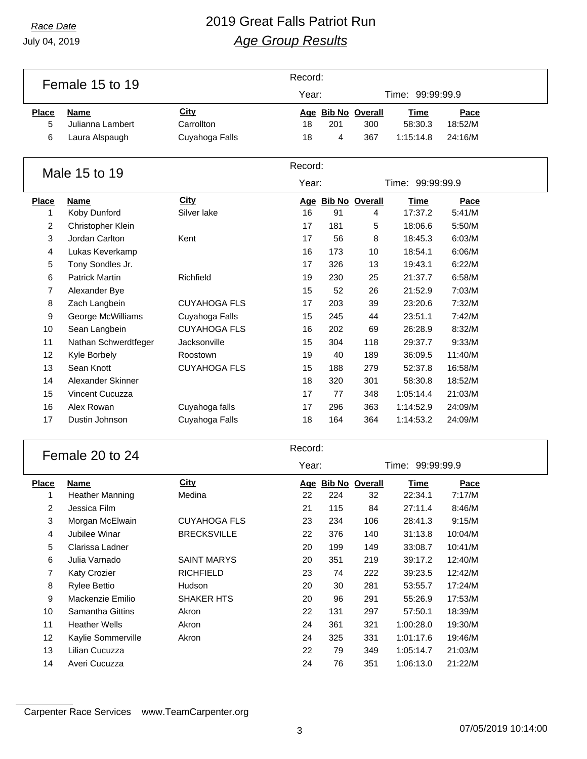#### *Race Date* 2019 Great Falls Patriot Run *Age Group Results*

|              | Female 15 to 19        |                     | Record: |     |                         |                  |                  |  |  |
|--------------|------------------------|---------------------|---------|-----|-------------------------|------------------|------------------|--|--|
|              |                        |                     | Year:   |     |                         | Time: 99:99:99.9 |                  |  |  |
| <b>Place</b> | <b>Name</b>            | City                |         |     | Age Bib No Overall      | <b>Time</b>      | Pace             |  |  |
| 5            | Julianna Lambert       | Carrollton          | 18      | 201 | 300                     | 58:30.3          | 18:52/M          |  |  |
| 6            | Laura Alspaugh         | Cuyahoga Falls      | 18      | 4   | 367                     | 1:15:14.8        | 24:16/M          |  |  |
|              |                        |                     |         |     |                         |                  |                  |  |  |
|              |                        |                     | Record: |     |                         |                  |                  |  |  |
|              | Male 15 to 19          |                     | Year:   |     |                         | Time: 99:99:99.9 |                  |  |  |
| <b>Place</b> | <b>Name</b>            | City                |         |     |                         | <b>Time</b>      |                  |  |  |
| 1            | Koby Dunford           | Silver lake         | 16      | 91  | Age Bib No Overall<br>4 | 17:37.2          | Pace<br>5:41/M   |  |  |
| 2            | Christopher Klein      |                     | 17      | 181 | 5                       | 18:06.6          | 5:50/M           |  |  |
| 3            | Jordan Carlton         | Kent                | 17      | 56  | 8                       | 18:45.3          | 6:03/M           |  |  |
| 4            | Lukas Keverkamp        |                     | 16      | 173 | 10                      | 18:54.1          | 6:06/M           |  |  |
| 5            | Tony Sondles Jr.       |                     | 17      | 326 | 13                      | 19:43.1          | 6:22/M           |  |  |
| 6            | <b>Patrick Martin</b>  | Richfield           | 19      | 230 | 25                      | 21:37.7          | 6:58/M           |  |  |
| 7            | Alexander Bye          |                     | 15      | 52  | 26                      | 21:52.9          | 7:03/M           |  |  |
| 8            | Zach Langbein          | <b>CUYAHOGA FLS</b> | 17      | 203 | 39                      | 23:20.6          | 7:32/M           |  |  |
| 9            | George McWilliams      | Cuyahoga Falls      | 15      | 245 | 44                      | 23:51.1          | 7:42/M           |  |  |
| 10           | Sean Langbein          | <b>CUYAHOGA FLS</b> | 16      | 202 | 69                      | 26:28.9          | 8:32/M           |  |  |
| 11           | Nathan Schwerdtfeger   | Jacksonville        | 15      | 304 | 118                     | 29:37.7          | 9:33/M           |  |  |
| 12           | Kyle Borbely           | Roostown            | 19      | 40  | 189                     | 36:09.5          | 11:40/M          |  |  |
| 13           | Sean Knott             | <b>CUYAHOGA FLS</b> | 15      | 188 | 279                     | 52:37.8          | 16:58/M          |  |  |
| 14           | Alexander Skinner      |                     | 18      | 320 | 301                     | 58:30.8          | 18:52/M          |  |  |
| 15           | Vincent Cucuzza        |                     | 17      | 77  | 348                     | 1:05:14.4        | 21:03/M          |  |  |
| 16           | Alex Rowan             | Cuyahoga falls      | 17      | 296 | 363                     | 1:14:52.9        | 24:09/M          |  |  |
| 17           | Dustin Johnson         | Cuyahoga Falls      | 18      | 164 | 364                     | 1:14:53.2        | 24:09/M          |  |  |
|              |                        |                     |         |     |                         |                  |                  |  |  |
|              |                        |                     | Record: |     |                         |                  |                  |  |  |
|              | Female 20 to 24        |                     | Year:   |     |                         |                  | Time: 99:99:99.9 |  |  |
| <b>Place</b> | Name                   | <b>City</b>         |         |     | Age Bib No Overall      | <b>Time</b>      | Pace             |  |  |
| 1            | <b>Heather Manning</b> | Medina              | 22      | 224 | 32                      | 22:34.1          | 7:17/M           |  |  |
| 2            | Jessica Film           |                     | 21      | 115 | 84                      | 27:11.4          | 8:46/M           |  |  |
| 3            | Morgan McElwain        | <b>CUYAHOGA FLS</b> | 23      | 234 | 106                     | 28:41.3          | 9:15/M           |  |  |
| 4            | Jubilee Winar          | <b>BRECKSVILLE</b>  | 22      | 376 | 140                     | 31:13.8          | 10:04/M          |  |  |
| 5            | Clarissa Ladner        |                     | 20      | 199 | 149                     | 33:08.7          | 10:41/M          |  |  |
| 6            | Julia Varnado          | <b>SAINT MARYS</b>  | 20      | 351 | 219                     | 39:17.2          | 12:40/M          |  |  |
| 7            | <b>Katy Crozier</b>    | <b>RICHFIELD</b>    | 23      | 74  | 222                     | 39:23.5          | 12:42/M          |  |  |
| 8            | <b>Rylee Bettio</b>    | Hudson              | 20      | 30  | 281                     | 53:55.7          | 17:24/M          |  |  |
| 9            | Mackenzie Emilio       | SHAKER HTS          | 20      | 96  | 291                     | 55:26.9          | 17:53/M          |  |  |

Carpenter Race Services www.TeamCarpenter.org

07/05/2019 10:14:00

 Samantha Gittins Akron 22 131 297 57:50.1 18:39/M Heather Wells Akron 24 361 321 1:00:28.0 19:30/M Kaylie Sommerville Akron 24 325 331 1:01:17.6 19:46/M Lilian Cucuzza 22 79 349 1:05:14.7 21:03/M Averi Cucuzza 24 76 351 1:06:13.0 21:22/M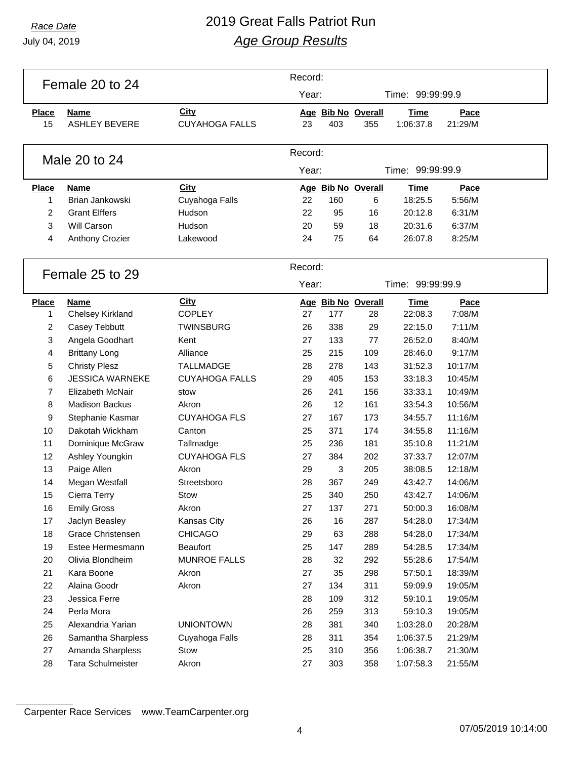### *Race Date* 2019 Great Falls Patriot Run *Age Group Results*

|                | Female 20 to 24         |                        | Record:  |     |                    |                  |                    |  |
|----------------|-------------------------|------------------------|----------|-----|--------------------|------------------|--------------------|--|
|                |                         |                        | Year:    |     |                    | Time: 99:99:99.9 |                    |  |
| <b>Place</b>   | <b>Name</b>             | <b>City</b>            |          |     | Age Bib No Overall | <b>Time</b>      | Pace               |  |
| 15             | <b>ASHLEY BEVERE</b>    | <b>CUYAHOGA FALLS</b>  | 23       | 403 | 355                | 1:06:37.8        | 21:29/M            |  |
|                |                         |                        |          |     |                    |                  |                    |  |
|                |                         |                        | Record:  |     |                    |                  |                    |  |
|                | Male 20 to 24           |                        | Year:    |     |                    | Time: 99:99:99.9 |                    |  |
|                |                         |                        |          |     |                    |                  |                    |  |
| <b>Place</b>   | <b>Name</b>             | City                   |          |     | Age Bib No Overall | <b>Time</b>      | Pace               |  |
| 1              | Brian Jankowski         | Cuyahoga Falls         | 22       | 160 | 6                  | 18:25.5          | 5:56/M             |  |
| $\overline{2}$ | <b>Grant Elffers</b>    | Hudson                 | 22       | 95  | 16                 | 20:12.8          | 6:31/M             |  |
| $\mathbf{3}$   | Will Carson             | Hudson                 | 20       | 59  | 18                 | 20:31.6          | 6:37/M             |  |
| 4              | Anthony Crozier         | Lakewood               | 24       | 75  | 64                 | 26:07.8          | 8:25/M             |  |
|                |                         |                        |          |     |                    |                  |                    |  |
|                | Female 25 to 29         |                        | Record:  |     |                    |                  |                    |  |
|                |                         |                        | Year:    |     |                    | Time: 99:99:99.9 |                    |  |
| <b>Place</b>   | <b>Name</b>             | City                   |          |     | Age Bib No Overall | <b>Time</b>      | Pace               |  |
| 1              | Chelsey Kirkland        | <b>COPLEY</b>          | 27       | 177 | 28                 | 22:08.3          | 7:08/M             |  |
| 2              | Casey Tebbutt           | <b>TWINSBURG</b>       | 26       | 338 | 29                 | 22:15.0          | 7:11/M             |  |
| 3              | Angela Goodhart         | Kent                   | 27       | 133 | 77                 | 26:52.0          | 8:40/M             |  |
| 4              | <b>Brittany Long</b>    | Alliance               | 25       | 215 | 109                | 28:46.0          | 9:17/M             |  |
| 5              | <b>Christy Plesz</b>    | <b>TALLMADGE</b>       | 28       | 278 | 143                | 31:52.3          | 10:17/M            |  |
| 6              | <b>JESSICA WARNEKE</b>  | <b>CUYAHOGA FALLS</b>  | 29       | 405 | 153                | 33:18.3          | 10:45/M            |  |
| 7              | <b>Elizabeth McNair</b> | stow                   | 26       | 241 | 156                | 33:33.1          | 10:49/M            |  |
| $\,8\,$        | <b>Madison Backus</b>   | Akron                  | 26       | 12  | 161                | 33:54.3          | 10:56/M            |  |
| 9              | Stephanie Kasmar        | <b>CUYAHOGA FLS</b>    | 27       | 167 | 173                | 34:55.7          | 11:16/M            |  |
| 10             | Dakotah Wickham         | Canton                 | 25       | 371 | 174                | 34:55.8          | 11:16/M            |  |
| 11             | Dominique McGraw        | Tallmadge              | 25       | 236 | 181                | 35:10.8          | 11:21/M            |  |
| 12             | Ashley Youngkin         | <b>CUYAHOGA FLS</b>    | 27       | 384 | 202                | 37:33.7          | 12:07/M            |  |
| 13             | Paige Allen             | Akron                  | 29       | 3   | 205                | 38:08.5          | 12:18/M            |  |
| 14             | Megan Westfall          | Streetsboro            | 28       | 367 | 249                | 43:42.7          | 14:06/M            |  |
| 15             | Cierra Terry            | Stow                   | 25       | 340 | 250                | 43:42.7          | 14:06/M            |  |
| 16             | <b>Emily Gross</b>      | Akron                  | 27       | 137 | 271                | 50:00.3          | 16:08/M            |  |
| 17             | Jaclyn Beasley          | Kansas City            | 26       | 16  | 287                | 54:28.0          | 17:34/M            |  |
| 18             | Grace Christensen       | <b>CHICAGO</b>         | 29       | 63  | 288                | 54:28.0          | 17:34/M            |  |
| 19             | Estee Hermesmann        | <b>Beaufort</b>        | 25       | 147 | 289                | 54:28.5          | 17:34/M            |  |
| 20             | Olivia Blondheim        | <b>MUNROE FALLS</b>    | 28       | 32  | 292                | 55:28.6          | 17:54/M            |  |
| 21             | Kara Boone              | Akron                  | 27       | 35  | 298                | 57:50.1          | 18:39/M            |  |
| 22             | Alaina Goodr            | Akron                  | 27       | 134 | 311                | 59:09.9          | 19:05/M            |  |
| 23             | Jessica Ferre           |                        | 28       | 109 | 312                | 59:10.1          | 19:05/M            |  |
| 24             | Perla Mora              |                        | 26       | 259 | 313                | 59:10.3          | 19:05/M            |  |
| 25             | Alexandria Yarian       | <b>UNIONTOWN</b>       | 28       | 381 | 340                | 1:03:28.0        | 20:28/M            |  |
| 26             | Samantha Sharpless      |                        |          | 311 |                    | 1:06:37.5        |                    |  |
| 27             | Amanda Sharpless        | Cuyahoga Falls<br>Stow | 28<br>25 | 310 | 354                | 1:06:38.7        | 21:29/M<br>21:30/M |  |
| 28             |                         |                        |          |     | 356                |                  |                    |  |
|                | Tara Schulmeister       | Akron                  | 27       | 303 | 358                | 1:07:58.3        | 21:55/M            |  |

Carpenter Race Services www.TeamCarpenter.org

07/05/2019 10:14:00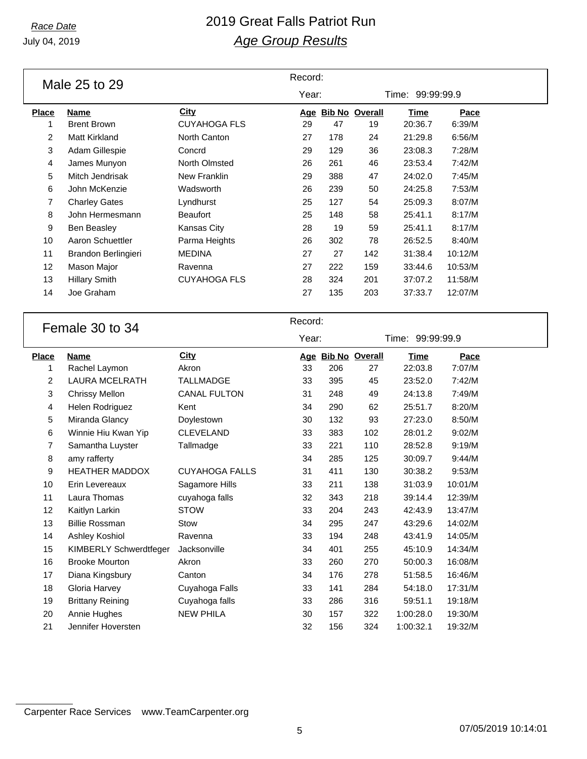### *Race Date* 2019 Great Falls Patriot Run *Age Group Results*

|                | Male 25 to 29           |                       | Record: |     |                    |                  |         |  |
|----------------|-------------------------|-----------------------|---------|-----|--------------------|------------------|---------|--|
|                |                         |                       | Year:   |     |                    | Time: 99:99:99.9 |         |  |
| <b>Place</b>   | <b>Name</b>             | <b>City</b>           |         |     | Age Bib No Overall | <b>Time</b>      | Pace    |  |
| $\mathbf{1}$   | <b>Brent Brown</b>      | <b>CUYAHOGA FLS</b>   | 29      | 47  | 19                 | 20:36.7          | 6:39/M  |  |
| $\overline{2}$ | <b>Matt Kirkland</b>    | North Canton          | 27      | 178 | 24                 | 21:29.8          | 6:56/M  |  |
| 3              | Adam Gillespie          | Concrd                | 29      | 129 | 36                 | 23:08.3          | 7:28/M  |  |
| 4              | James Munyon            | North Olmsted         | 26      | 261 | 46                 | 23:53.4          | 7:42/M  |  |
| 5              | Mitch Jendrisak         | New Franklin          | 29      | 388 | 47                 | 24:02.0          | 7:45/M  |  |
| 6              | John McKenzie           | Wadsworth             | 26      | 239 | 50                 | 24:25.8          | 7:53/M  |  |
| 7              | <b>Charley Gates</b>    | Lyndhurst             | 25      | 127 | 54                 | 25:09.3          | 8:07/M  |  |
| 8              | John Hermesmann         | <b>Beaufort</b>       | 25      | 148 | 58                 | 25:41.1          | 8:17/M  |  |
| 9              | <b>Ben Beasley</b>      | Kansas City           | 28      | 19  | 59                 | 25:41.1          | 8:17/M  |  |
| 10             | Aaron Schuettler        | Parma Heights         | 26      | 302 | 78                 | 26:52.5          | 8:40/M  |  |
| 11             | Brandon Berlingieri     | <b>MEDINA</b>         | 27      | 27  | 142                | 31:38.4          | 10:12/M |  |
| 12             | Mason Major             | Ravenna               | 27      | 222 | 159                | 33:44.6          | 10:53/M |  |
| 13             | <b>Hillary Smith</b>    | <b>CUYAHOGA FLS</b>   | 28      | 324 | 201                | 37:07.2          | 11:58/M |  |
| 14             | Joe Graham              |                       | 27      | 135 | 203                | 37:33.7          | 12:07/M |  |
|                |                         |                       |         |     |                    |                  |         |  |
|                |                         |                       | Record: |     |                    |                  |         |  |
|                | Female 30 to 34         |                       | Year:   |     |                    | Time: 99:99:99.9 |         |  |
|                |                         |                       |         |     |                    |                  |         |  |
| <b>Place</b>   | <b>Name</b>             | <b>City</b>           |         |     | Age Bib No Overall | <b>Time</b>      | Pace    |  |
| 1              | Rachel Laymon           | Akron                 | 33      | 206 | 27                 | 22:03.8          | 7:07/M  |  |
| $\overline{2}$ | <b>LAURA MCELRATH</b>   | <b>TALLMADGE</b>      | 33      | 395 | 45                 | 23:52.0          | 7:42/M  |  |
| 3              | <b>Chrissy Mellon</b>   | <b>CANAL FULTON</b>   | 31      | 248 | 49                 | 24:13.8          | 7:49/M  |  |
| 4              | Helen Rodriguez         | Kent                  | 34      | 290 | 62                 | 25:51.7          | 8:20/M  |  |
| 5              | Miranda Glancy          | Doylestown            | 30      | 132 | 93                 | 27:23.0          | 8:50/M  |  |
| 6              | Winnie Hiu Kwan Yip     | <b>CLEVELAND</b>      | 33      | 383 | 102                | 28:01.2          | 9:02/M  |  |
| 7              | Samantha Luyster        | Tallmadge             | 33      | 221 | 110                | 28:52.8          | 9:19/M  |  |
| 8              | amy rafferty            |                       | 34      | 285 | 125                | 30:09.7          | 9:44/M  |  |
| 9              | <b>HEATHER MADDOX</b>   | <b>CUYAHOGA FALLS</b> | 31      | 411 | 130                | 30:38.2          | 9:53/M  |  |
| 10             | Erin Levereaux          | Sagamore Hills        | 33      | 211 | 138                | 31:03.9          | 10:01/M |  |
| 11             | Laura Thomas            | cuyahoga falls        | 32      | 343 | 218                | 39:14.4          | 12:39/M |  |
| 12             | Kaitlyn Larkin          | <b>STOW</b>           | 33      | 204 | 243                | 42:43.9          | 13:47/M |  |
| 13             | <b>Billie Rossman</b>   | Stow                  | 34      | 295 | 247                | 43:29.6          | 14:02/M |  |
| 14             | Ashley Koshiol          | Ravenna               | 33      | 194 | 248                | 43:41.9          | 14:05/M |  |
| 15             | KIMBERLY Schwerdtfeger  | Jacksonville          | 34      | 401 | 255                | 45:10.9          | 14:34/M |  |
| 16             | <b>Brooke Mourton</b>   | Akron                 | 33      | 260 | 270                | 50:00.3          | 16:08/M |  |
| 17             | Diana Kingsbury         | Canton                | 34      | 176 | 278                | 51:58.5          | 16:46/M |  |
| 18             | Gloria Harvey           | Cuyahoga Falls        | 33      | 141 | 284                | 54:18.0          | 17:31/M |  |
|                | <b>Brittany Reining</b> |                       |         | 286 | 316                | 59:51.1          | 19:18/M |  |
| 19             |                         | Cuyahoga falls        | 33      |     |                    |                  |         |  |
| 20             | Annie Hughes            | <b>NEW PHILA</b>      | 30      | 157 | 322                | 1:00:28.0        | 19:30/M |  |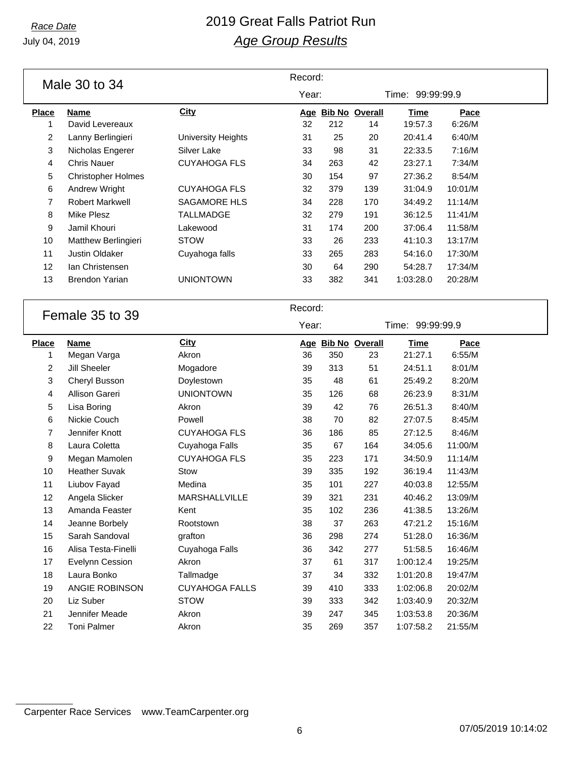July 04, 2019

#### *Race Date* 2019 Great Falls Patriot Run *Age Group Results*

|                         | Male 30 to 34             |                           | Record: |     |                    |                  |         |  |
|-------------------------|---------------------------|---------------------------|---------|-----|--------------------|------------------|---------|--|
|                         |                           |                           | Year:   |     |                    | Time: 99:99:99.9 |         |  |
| <b>Place</b>            | <b>Name</b>               | <b>City</b>               |         |     | Age Bib No Overall | <b>Time</b>      | Pace    |  |
| $\mathbf{1}$            | David Levereaux           |                           | 32      | 212 | 14                 | 19:57.3          | 6:26/M  |  |
| $\overline{c}$          | Lanny Berlingieri         | <b>University Heights</b> | 31      | 25  | 20                 | 20:41.4          | 6:40/M  |  |
| 3                       | Nicholas Engerer          | Silver Lake               | 33      | 98  | 31                 | 22:33.5          | 7:16/M  |  |
| 4                       | <b>Chris Nauer</b>        | <b>CUYAHOGA FLS</b>       | 34      | 263 | 42                 | 23:27.1          | 7:34/M  |  |
| 5                       | <b>Christopher Holmes</b> |                           | 30      | 154 | 97                 | 27:36.2          | 8:54/M  |  |
| 6                       | Andrew Wright             | <b>CUYAHOGA FLS</b>       | 32      | 379 | 139                | 31:04.9          | 10:01/M |  |
| 7                       | <b>Robert Markwell</b>    | <b>SAGAMORE HLS</b>       | 34      | 228 | 170                | 34:49.2          | 11:14/M |  |
| 8                       | <b>Mike Plesz</b>         | <b>TALLMADGE</b>          | 32      | 279 | 191                | 36:12.5          | 11:41/M |  |
| 9                       | Jamil Khouri              | Lakewood                  | 31      | 174 | 200                | 37:06.4          | 11:58/M |  |
| 10                      | Matthew Berlingieri       | <b>STOW</b>               | 33      | 26  | 233                | 41:10.3          | 13:17/M |  |
| 11                      | Justin Oldaker            | Cuyahoga falls            | 33      | 265 | 283                | 54:16.0          | 17:30/M |  |
| 12                      | Ian Christensen           |                           | 30      | 64  | 290                | 54:28.7          | 17:34/M |  |
| 13                      | <b>Brendon Yarian</b>     | <b>UNIONTOWN</b>          | 33      | 382 | 341                | 1:03:28.0        | 20:28/M |  |
|                         |                           |                           |         |     |                    |                  |         |  |
|                         |                           |                           |         |     |                    |                  |         |  |
|                         | Female 35 to 39           |                           | Record: |     |                    |                  |         |  |
|                         |                           |                           | Year:   |     |                    | Time: 99:99:99.9 |         |  |
| <b>Place</b>            | <b>Name</b>               | City                      |         |     | Age Bib No Overall | <b>Time</b>      | Pace    |  |
| 1                       | Megan Varga               | Akron                     | 36      | 350 | 23                 | 21:27.1          | 6:55/M  |  |
| $\overline{\mathbf{c}}$ | Jill Sheeler              | Mogadore                  | 39      | 313 | 51                 | 24:51.1          | 8:01/M  |  |
| 3                       | Cheryl Busson             | Doylestown                | 35      | 48  | 61                 | 25:49.2          | 8:20/M  |  |
| 4                       | Allison Gareri            | <b>UNIONTOWN</b>          | 35      | 126 | 68                 | 26:23.9          | 8:31/M  |  |
| 5                       | Lisa Boring               | Akron                     | 39      | 42  | 76                 | 26:51.3          | 8:40/M  |  |
| 6                       | Nickie Couch              | Powell                    | 38      | 70  | 82                 | 27:07.5          | 8:45/M  |  |
| 7                       | Jennifer Knott            | <b>CUYAHOGA FLS</b>       | 36      | 186 | 85                 | 27:12.5          | 8:46/M  |  |
| 8                       | Laura Coletta             | Cuyahoga Falls            | 35      | 67  | 164                | 34:05.6          | 11:00/M |  |
| 9                       | Megan Mamolen             | <b>CUYAHOGA FLS</b>       | 35      | 223 | 171                | 34:50.9          | 11:14/M |  |
| 10                      | <b>Heather Suvak</b>      | Stow                      | 39      | 335 | 192                | 36:19.4          | 11:43/M |  |
| 11                      | Liubov Fayad              | Medina                    | 35      | 101 | 227                | 40:03.8          | 12:55/M |  |
| 12                      | Angela Slicker            | MARSHALLVILLE             | 39      | 321 | 231                | 40:46.2          | 13:09/M |  |
| 13                      | Amanda Feaster            | Kent                      | 35      | 102 | 236                | 41:38.5          | 13:26/M |  |

 Sarah Sandoval grafton 36 298 274 51:28.0 16:36/M Alisa Testa-Finelli Cuyahoga Falls 36 342 277 51:58.5 16:46/M Evelynn Cession Akron 37 61 317 1:00:12.4 19:25/M Laura Bonko Tallmadge 37 34 332 1:01:20.8 19:47/M ANGIE ROBINSON CUYAHOGA FALLS 39 410 333 1:02:06.8 20:02/M Liz Suber STOW 39 333 342 1:03:40.9 20:32/M Jennifer Meade Akron 39 247 345 1:03:53.8 20:36/M Toni Palmer Akron 35 269 357 1:07:58.2 21:55/M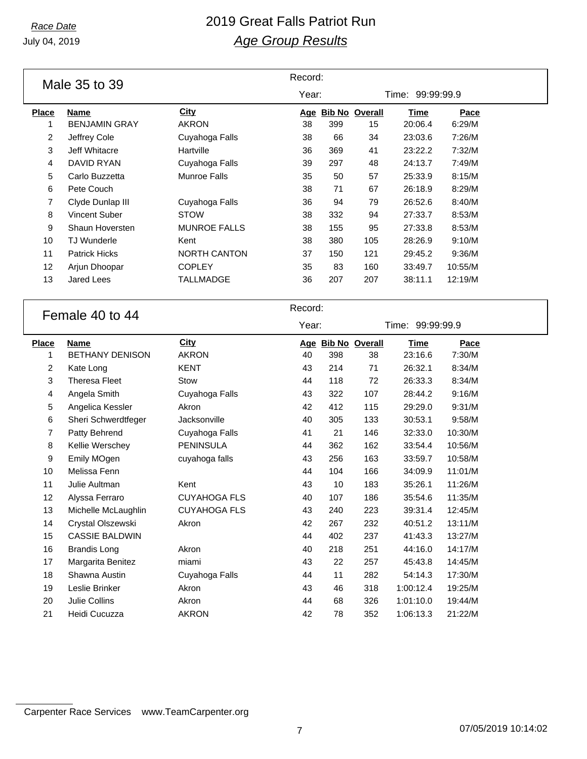#### *Race Date* 2019 Great Falls Patriot Run *Age Group Results*

|              | Male 35 to 39          |                     | Record: |     |                    |                  |         |  |
|--------------|------------------------|---------------------|---------|-----|--------------------|------------------|---------|--|
|              |                        |                     | Year:   |     |                    | Time: 99:99:99.9 |         |  |
| <b>Place</b> | <b>Name</b>            | City                |         |     | Age Bib No Overall | <b>Time</b>      | Pace    |  |
| $\mathbf{1}$ | <b>BENJAMIN GRAY</b>   | <b>AKRON</b>        | 38      | 399 | 15                 | 20:06.4          | 6:29/M  |  |
| 2            | Jeffrey Cole           | Cuyahoga Falls      | 38      | 66  | 34                 | 23:03.6          | 7:26/M  |  |
| 3            | Jeff Whitacre          | Hartville           | 36      | 369 | 41                 | 23:22.2          | 7:32/M  |  |
| 4            | DAVID RYAN             | Cuyahoga Falls      | 39      | 297 | 48                 | 24:13.7          | 7:49/M  |  |
| 5            | Carlo Buzzetta         | <b>Munroe Falls</b> | 35      | 50  | 57                 | 25:33.9          | 8:15/M  |  |
| 6            | Pete Couch             |                     | 38      | 71  | 67                 | 26:18.9          | 8:29/M  |  |
| 7            | Clyde Dunlap III       | Cuyahoga Falls      | 36      | 94  | 79                 | 26:52.6          | 8:40/M  |  |
| 8            | Vincent Suber          | <b>STOW</b>         | 38      | 332 | 94                 | 27:33.7          | 8:53/M  |  |
| 9            | Shaun Hoversten        | <b>MUNROE FALLS</b> | 38      | 155 | 95                 | 27:33.8          | 8:53/M  |  |
| 10           | <b>TJ Wunderle</b>     | Kent                | 38      | 380 | 105                | 28:26.9          | 9:10/M  |  |
| 11           | <b>Patrick Hicks</b>   | <b>NORTH CANTON</b> | 37      | 150 | 121                | 29:45.2          | 9:36/M  |  |
| 12           | Arjun Dhoopar          | <b>COPLEY</b>       | 35      | 83  | 160                | 33:49.7          | 10:55/M |  |
| 13           | Jared Lees             | <b>TALLMADGE</b>    | 36      | 207 | 207                | 38:11.1          | 12:19/M |  |
|              |                        |                     |         |     |                    |                  |         |  |
|              | Female 40 to 44        |                     | Record: |     |                    |                  |         |  |
|              |                        |                     | Year:   |     |                    | Time: 99:99:99.9 |         |  |
| <b>Place</b> | <b>Name</b>            | <b>City</b>         |         |     | Age Bib No Overall | <b>Time</b>      | Pace    |  |
| 1            | <b>BETHANY DENISON</b> | <b>AKRON</b>        | 40      | 398 | 38                 | 23:16.6          | 7:30/M  |  |
| 2            | Kate Long              | <b>KENT</b>         | 43      | 214 | 71                 | 26:32.1          | 8:34/M  |  |
| 3            | <b>Theresa Fleet</b>   | Stow                | 44      | 118 | 72                 | 26:33.3          | 8:34/M  |  |
| 4            | Angela Smith           | Cuyahoga Falls      | 43      | 322 | 107                | 28:44.2          | 9:16/M  |  |
| 5            | Angelica Kessler       | Akron               | 42      | 412 | 115                | 29:29.0          | 9:31/M  |  |
| 6            | Sheri Schwerdtfeger    | Jacksonville        | 40      | 305 | 133                | 30:53.1          | 9:58/M  |  |
| 7            | Patty Behrend          | Cuyahoga Falls      | 41      | 21  | 146                | 32:33.0          | 10:30/M |  |
| 8            | Kellie Werschey        | <b>PENINSULA</b>    | 44      | 362 | 162                | 33:54.4          | 10:56/M |  |
| 9            | Emily MOgen            | cuyahoga falls      | 43      | 256 | 163                | 33:59.7          | 10:58/M |  |
| 10           | Melissa Fenn           |                     | 44      | 104 | 166                | 34:09.9          | 11:01/M |  |
| 11           | Julie Aultman          | Kent                | 43      | 10  | 183                | 35:26.1          | 11:26/M |  |
|              |                        |                     |         |     |                    |                  |         |  |
| 12           | Alyssa Ferraro         | <b>CUYAHOGA FLS</b> | 40      | 107 | 186                | 35:54.6          | 11:35/M |  |

 Crystal Olszewski Akron 42 267 232 40:51.2 13:11/M CASSIE BALDWIN 44 402 237 41:43.3 13:27/M Brandis Long Akron 40 218 251 44:16.0 14:17/M Margarita Benitez miami 43 22 257 45:43.8 14:45/M Shawna Austin Cuyahoga Falls 44 11 282 54:14.3 17:30/M Leslie Brinker Akron 43 46 318 1:00:12.4 19:25/M Julie Collins Akron 44 68 326 1:01:10.0 19:44/M Heidi Cucuzza AKRON 42 78 352 1:06:13.3 21:22/M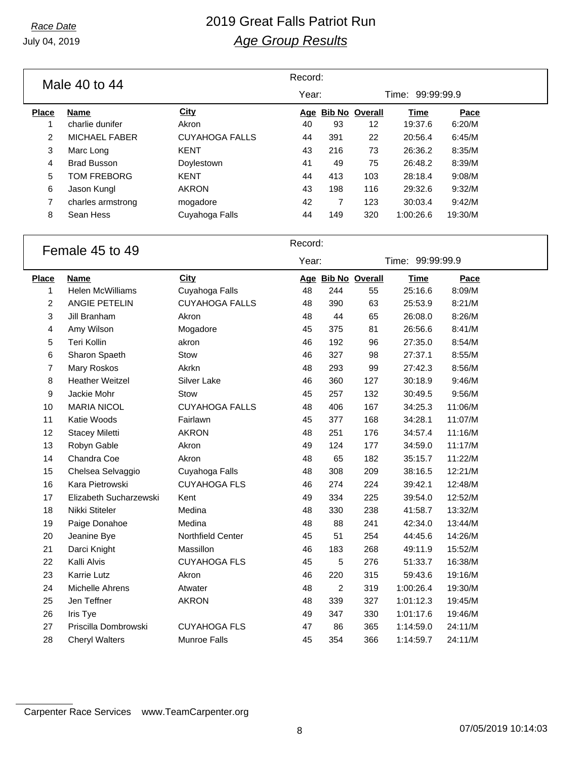### *Race Date* 2019 Great Falls Patriot Run *Age Group Results*

|                 | Male 40 to 44        | Record:               |                  |     |                       |                  |             |  |
|-----------------|----------------------|-----------------------|------------------|-----|-----------------------|------------------|-------------|--|
|                 |                      |                       | Year:            |     |                       | Time: 99:99:99.9 |             |  |
| <b>Place</b>    | Name                 | City                  | Age              |     | <b>Bib No Overall</b> | Time             | Pace        |  |
| 1               | charlie dunifer      | Akron                 | 40               | 93  | 12                    | 19:37.6          | 6:20/M      |  |
| 2               | <b>MICHAEL FABER</b> | <b>CUYAHOGA FALLS</b> | 44               | 391 | 22                    | 20:56.4          | 6:45/M      |  |
| 3               | Marc Long            | <b>KENT</b>           | 43               | 216 | 73                    | 26:36.2          | 8:35/M      |  |
| 4               | <b>Brad Busson</b>   | Doylestown            | 41               | 49  | 75                    | 26:48.2          | 8:39/M      |  |
| 5               | TOM FREBORG          | <b>KENT</b>           | 44               | 413 | 103                   | 28:18.4          | 9:08/M      |  |
| 6               | Jason Kungl          | <b>AKRON</b>          | 43               | 198 | 116                   | 29:32.6          | 9:32/M      |  |
| 7               | charles armstrong    | mogadore              | 42               | 7   | 123                   | 30:03.4          | 9:42/M      |  |
| 8               | Sean Hess            | Cuyahoga Falls        | 44               | 149 | 320                   | 1:00:26.6        | 19:30/M     |  |
| Female 45 to 49 |                      |                       | Record:<br>Year: |     |                       | Time: 99:99:99.9 |             |  |
|                 |                      |                       |                  |     |                       |                  |             |  |
| <b>Place</b>    | Name                 | <b>City</b>           |                  |     | Age Bib No Overall    | Time             | <u>Pace</u> |  |

| Place          | <b>Name</b>            | City                  |    | Age Bib No Overall |     | <b>Time</b> | Pace    |  |
|----------------|------------------------|-----------------------|----|--------------------|-----|-------------|---------|--|
| 1              | Helen McWilliams       | Cuyahoga Falls        | 48 | 244                | 55  | 25:16.6     | 8:09/M  |  |
| $\overline{c}$ | ANGIE PETELIN          | <b>CUYAHOGA FALLS</b> | 48 | 390                | 63  | 25:53.9     | 8:21/M  |  |
| 3              | Jill Branham           | Akron                 | 48 | 44                 | 65  | 26:08.0     | 8:26/M  |  |
| 4              | Amy Wilson             | Mogadore              | 45 | 375                | 81  | 26:56.6     | 8:41/M  |  |
| 5              | Teri Kollin            | akron                 | 46 | 192                | 96  | 27:35.0     | 8:54/M  |  |
| 6              | Sharon Spaeth          | Stow                  | 46 | 327                | 98  | 27:37.1     | 8:55/M  |  |
| 7              | Mary Roskos            | Akrkn                 | 48 | 293                | 99  | 27:42.3     | 8:56/M  |  |
| 8              | <b>Heather Weitzel</b> | Silver Lake           | 46 | 360                | 127 | 30:18.9     | 9:46/M  |  |
| 9              | Jackie Mohr            | Stow                  | 45 | 257                | 132 | 30:49.5     | 9:56/M  |  |
| 10             | <b>MARIA NICOL</b>     | <b>CUYAHOGA FALLS</b> | 48 | 406                | 167 | 34:25.3     | 11:06/M |  |
| 11             | Katie Woods            | Fairlawn              | 45 | 377                | 168 | 34:28.1     | 11:07/M |  |
| 12             | <b>Stacey Miletti</b>  | <b>AKRON</b>          | 48 | 251                | 176 | 34:57.4     | 11:16/M |  |
| 13             | Robyn Gable            | Akron                 | 49 | 124                | 177 | 34:59.0     | 11:17/M |  |
| 14             | Chandra Coe            | Akron                 | 48 | 65                 | 182 | 35:15.7     | 11:22/M |  |
| 15             | Chelsea Selvaggio      | Cuyahoga Falls        | 48 | 308                | 209 | 38:16.5     | 12:21/M |  |
| 16             | Kara Pietrowski        | <b>CUYAHOGA FLS</b>   | 46 | 274                | 224 | 39:42.1     | 12:48/M |  |
| 17             | Elizabeth Sucharzewski | Kent                  | 49 | 334                | 225 | 39:54.0     | 12:52/M |  |
| 18             | Nikki Stiteler         | Medina                | 48 | 330                | 238 | 41:58.7     | 13:32/M |  |
| 19             | Paige Donahoe          | Medina                | 48 | 88                 | 241 | 42:34.0     | 13:44/M |  |
| 20             | Jeanine Bye            | Northfield Center     | 45 | 51                 | 254 | 44:45.6     | 14:26/M |  |
| 21             | Darci Knight           | Massillon             | 46 | 183                | 268 | 49:11.9     | 15:52/M |  |
| 22             | Kalli Alvis            | <b>CUYAHOGA FLS</b>   | 45 | 5                  | 276 | 51:33.7     | 16:38/M |  |
| 23             | Karrie Lutz            | Akron                 | 46 | 220                | 315 | 59:43.6     | 19:16/M |  |
| 24             | Michelle Ahrens        | Atwater               | 48 | $\overline{c}$     | 319 | 1:00:26.4   | 19:30/M |  |
| 25             | Jen Teffner            | <b>AKRON</b>          | 48 | 339                | 327 | 1:01:12.3   | 19:45/M |  |
| 26             | Iris Tye               |                       | 49 | 347                | 330 | 1:01:17.6   | 19:46/M |  |
| 27             | Priscilla Dombrowski   | <b>CUYAHOGA FLS</b>   | 47 | 86                 | 365 | 1:14:59.0   | 24:11/M |  |
| 28             | <b>Cheryl Walters</b>  | <b>Munroe Falls</b>   | 45 | 354                | 366 | 1:14:59.7   | 24:11/M |  |
|                |                        |                       |    |                    |     |             |         |  |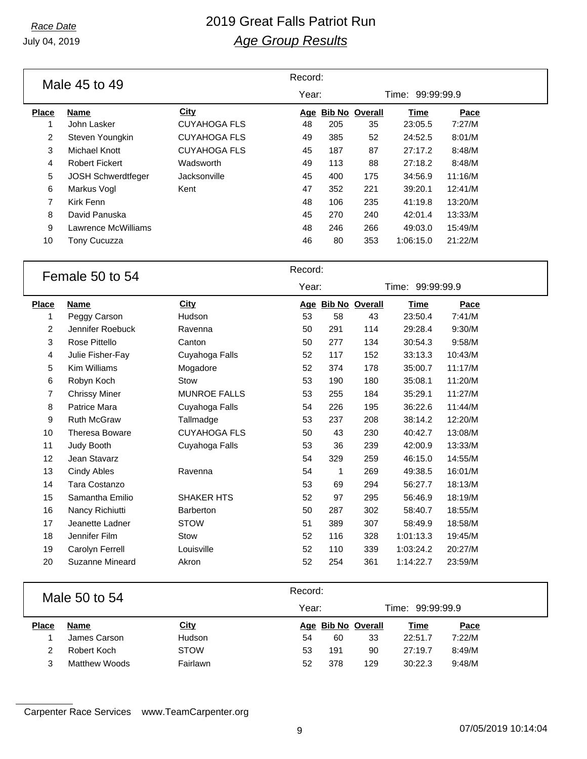July 04, 2019

### *Race Date* 2019 Great Falls Patriot Run *Age Group Results*

| Male 45 to 49  |                           |                     | Record: |     |                       |                  |         |  |
|----------------|---------------------------|---------------------|---------|-----|-----------------------|------------------|---------|--|
|                |                           |                     | Year:   |     |                       | Time: 99:99:99.9 |         |  |
| <b>Place</b>   | <b>Name</b>               | City                | Age     |     | <b>Bib No Overall</b> | <b>Time</b>      | Pace    |  |
| 1              | John Lasker               | <b>CUYAHOGA FLS</b> | 48      | 205 | 35                    | 23:05.5          | 7:27/M  |  |
| $\overline{2}$ | Steven Youngkin           | <b>CUYAHOGA FLS</b> | 49      | 385 | 52                    | 24:52.5          | 8:01/M  |  |
| 3              | Michael Knott             | <b>CUYAHOGA FLS</b> | 45      | 187 | 87                    | 27:17.2          | 8:48/M  |  |
| 4              | <b>Robert Fickert</b>     | Wadsworth           | 49      | 113 | 88                    | 27:18.2          | 8:48/M  |  |
| 5              | <b>JOSH Schwerdtfeger</b> | Jacksonville        | 45      | 400 | 175                   | 34:56.9          | 11:16/M |  |
| 6              | Markus Vogl               | Kent                | 47      | 352 | 221                   | 39:20.1          | 12:41/M |  |
| 7              | Kirk Fenn                 |                     | 48      | 106 | 235                   | 41:19.8          | 13:20/M |  |
| 8              | David Panuska             |                     | 45      | 270 | 240                   | 42:01.4          | 13:33/M |  |
| 9              | Lawrence McWilliams       |                     | 48      | 246 | 266                   | 49:03.0          | 15:49/M |  |
| 10             | <b>Tony Cucuzza</b>       |                     | 46      | 80  | 353                   | 1:06:15.0        | 21:22/M |  |

# Female 50 to 54 Record:

|              | דט טט עט טאווט ו      |                     | Year: |     |                    | Time: 99:99:99.9 |         |  |
|--------------|-----------------------|---------------------|-------|-----|--------------------|------------------|---------|--|
| <b>Place</b> | <b>Name</b>           | City                |       |     | Age Bib No Overall | <b>Time</b>      | Pace    |  |
| 1            | Peggy Carson          | Hudson              | 53    | 58  | 43                 | 23:50.4          | 7:41/M  |  |
| 2            | Jennifer Roebuck      | Ravenna             | 50    | 291 | 114                | 29:28.4          | 9:30/M  |  |
| 3            | Rose Pittello         | Canton              | 50    | 277 | 134                | 30:54.3          | 9:58/M  |  |
| 4            | Julie Fisher-Fay      | Cuyahoga Falls      | 52    | 117 | 152                | 33:13.3          | 10:43/M |  |
| 5            | Kim Williams          | Mogadore            | 52    | 374 | 178                | 35:00.7          | 11:17/M |  |
| 6            | Robyn Koch            | Stow                | 53    | 190 | 180                | 35:08.1          | 11:20/M |  |
| 7            | <b>Chrissy Miner</b>  | <b>MUNROE FALLS</b> | 53    | 255 | 184                | 35:29.1          | 11:27/M |  |
| 8            | Patrice Mara          | Cuyahoga Falls      | 54    | 226 | 195                | 36:22.6          | 11:44/M |  |
| 9            | Ruth McGraw           | Tallmadge           | 53    | 237 | 208                | 38:14.2          | 12:20/M |  |
| 10           | <b>Theresa Boware</b> | <b>CUYAHOGA FLS</b> | 50    | 43  | 230                | 40:42.7          | 13:08/M |  |
| 11           | Judy Booth            | Cuyahoga Falls      | 53    | 36  | 239                | 42:00.9          | 13:33/M |  |
| 12           | Jean Stavarz          |                     | 54    | 329 | 259                | 46:15.0          | 14:55/M |  |
| 13           | Cindy Ables           | Ravenna             | 54    | 1   | 269                | 49:38.5          | 16:01/M |  |
| 14           | Tara Costanzo         |                     | 53    | 69  | 294                | 56:27.7          | 18:13/M |  |
| 15           | Samantha Emilio       | <b>SHAKER HTS</b>   | 52    | 97  | 295                | 56:46.9          | 18:19/M |  |
| 16           | Nancy Richiutti       | <b>Barberton</b>    | 50    | 287 | 302                | 58:40.7          | 18:55/M |  |
| 17           | Jeanette Ladner       | <b>STOW</b>         | 51    | 389 | 307                | 58:49.9          | 18:58/M |  |
| 18           | Jennifer Film         | Stow                | 52    | 116 | 328                | 1:01:13.3        | 19:45/M |  |
| 19           | Carolyn Ferrell       | Louisville          | 52    | 110 | 339                | 1:03:24.2        | 20:27/M |  |
| 20           | Suzanne Mineard       | Akron               | 52    | 254 | 361                | 1:14:22.7        | 23:59/M |  |

|              | Male 50 to 54 |             |       | Record: |                    |                  |        |  |  |  |
|--------------|---------------|-------------|-------|---------|--------------------|------------------|--------|--|--|--|
|              |               |             | Year: |         |                    | Time: 99:99:99.9 |        |  |  |  |
| <b>Place</b> | Name          | <b>City</b> |       |         | Age Bib No Overall | <b>Time</b>      | Pace   |  |  |  |
|              | James Carson  | Hudson      | 54    | 60      | 33                 | 22:51.7          | 7:22/M |  |  |  |
| 2            | Robert Koch   | <b>STOW</b> | 53    | 191     | 90                 | 27:19.7          | 8:49/M |  |  |  |
|              | Matthew Woods | Fairlawn    | 52    | 378     | 129                | 30:22.3          | 9:48/M |  |  |  |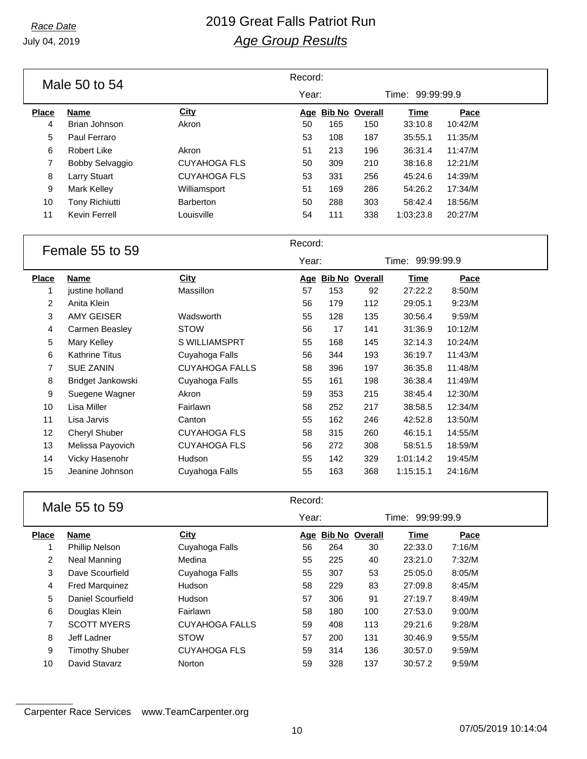# *Race Date* 2019 Great Falls Patriot Run *Age Group Results*

|              | Male 50 to 54         |                  | Record: |     |                       |           |         |  |
|--------------|-----------------------|------------------|---------|-----|-----------------------|-----------|---------|--|
|              |                       |                  | Year:   |     | Time: 99:99:99.9      |           |         |  |
| <b>Place</b> | <b>Name</b>           | <b>City</b>      | Aqe     |     | <b>Bib No Overall</b> | Time      | Pace    |  |
| 4            | Brian Johnson         | Akron            | 50      | 165 | 150                   | 33:10.8   | 10:42/M |  |
| 5            | Paul Ferraro          |                  | 53      | 108 | 187                   | 35:55.1   | 11:35/M |  |
| 6            | Robert Like           | Akron            | 51      | 213 | 196                   | 36:31.4   | 11:47/M |  |
|              | Bobby Selvaggio       | CUYAHOGA FLS     | 50      | 309 | 210                   | 38:16.8   | 12:21/M |  |
| 8            | Larry Stuart          | CUYAHOGA FLS     | 53      | 331 | 256                   | 45:24.6   | 14:39/M |  |
| 9            | <b>Mark Kelley</b>    | Williamsport     | 51      | 169 | 286                   | 54:26.2   | 17:34/M |  |
| 10           | <b>Tony Richiutti</b> | <b>Barberton</b> | 50      | 288 | 303                   | 58:42.4   | 18:56/M |  |
| 11           | Kevin Ferrell         | Louisville       | 54      | 111 | 338                   | 1:03:23.8 | 20:27/M |  |

| Female 55 to 59 |                       |                       | Record: |     |                       |                  |         |  |
|-----------------|-----------------------|-----------------------|---------|-----|-----------------------|------------------|---------|--|
|                 |                       |                       | Year:   |     |                       | Time: 99:99:99.9 |         |  |
| <b>Place</b>    | <b>Name</b>           | <b>City</b>           | Age     |     | <b>Bib No Overall</b> | <u>Time</u>      | Pace    |  |
| 1               | justine holland       | Massillon             | 57      | 153 | 92                    | 27:22.2          | 8:50/M  |  |
| 2               | Anita Klein           |                       | 56      | 179 | 112                   | 29:05.1          | 9:23/M  |  |
| 3               | AMY GEISER            | Wadsworth             | 55      | 128 | 135                   | 30:56.4          | 9:59/M  |  |
| 4               | Carmen Beasley        | <b>STOW</b>           | 56      | 17  | 141                   | 31:36.9          | 10:12/M |  |
| 5               | Mary Kelley           | S WILLIAMSPRT         | 55      | 168 | 145                   | 32:14.3          | 10:24/M |  |
| 6               | <b>Kathrine Titus</b> | Cuyahoga Falls        | 56      | 344 | 193                   | 36:19.7          | 11:43/M |  |
| 7               | <b>SUE ZANIN</b>      | <b>CUYAHOGA FALLS</b> | 58      | 396 | 197                   | 36:35.8          | 11:48/M |  |
| 8               | Bridget Jankowski     | Cuyahoga Falls        | 55      | 161 | 198                   | 36:38.4          | 11:49/M |  |
| 9               | Suegene Wagner        | Akron                 | 59      | 353 | 215                   | 38:45.4          | 12:30/M |  |
| 10              | Lisa Miller           | Fairlawn              | 58      | 252 | 217                   | 38:58.5          | 12:34/M |  |
| 11              | Lisa Jarvis           | Canton                | 55      | 162 | 246                   | 42:52.8          | 13:50/M |  |
| 12              | Cheryl Shuber         | <b>CUYAHOGA FLS</b>   | 58      | 315 | 260                   | 46:15.1          | 14:55/M |  |
| 13              | Melissa Payovich      | <b>CUYAHOGA FLS</b>   | 56      | 272 | 308                   | 58:51.5          | 18:59/M |  |
| 14              | Vicky Hasenohr        | Hudson                | 55      | 142 | 329                   | 1:01:14.2        | 19:45/M |  |
| 15              | Jeanine Johnson       | Cuyahoga Falls        | 55      | 163 | 368                   | 1:15:15.1        | 24:16/M |  |
|                 |                       |                       |         |     |                       |                  |         |  |

| Male 55 to 59  |                       | Record:               |    |       |                    |                     |        |  |
|----------------|-----------------------|-----------------------|----|-------|--------------------|---------------------|--------|--|
|                |                       |                       |    | Year: |                    | 99:99:99.9<br>Time: |        |  |
| <b>Place</b>   | <b>Name</b>           | <b>City</b>           |    |       | Age Bib No Overall | Time                | Pace   |  |
|                | <b>Phillip Nelson</b> | Cuyahoga Falls        | 56 | 264   | 30                 | 22:33.0             | 7:16/M |  |
| $\overline{2}$ | Neal Manning          | Medina                | 55 | 225   | 40                 | 23:21.0             | 7:32/M |  |
| 3              | Dave Scourfield       | Cuyahoga Falls        | 55 | 307   | 53                 | 25:05.0             | 8:05/M |  |
| 4              | <b>Fred Marquinez</b> | <b>Hudson</b>         | 58 | 229   | 83                 | 27:09.8             | 8:45/M |  |
| 5              | Daniel Scourfield     | <b>Hudson</b>         | 57 | 306   | 91                 | 27:19.7             | 8:49/M |  |
| 6              | Douglas Klein         | Fairlawn              | 58 | 180   | 100                | 27:53.0             | 9:00/M |  |
| 7              | <b>SCOTT MYERS</b>    | <b>CUYAHOGA FALLS</b> | 59 | 408   | 113                | 29:21.6             | 9:28/M |  |
| 8              | Jeff Ladner           | <b>STOW</b>           | 57 | 200   | 131                | 30:46.9             | 9:55/M |  |
| 9              | <b>Timothy Shuber</b> | <b>CUYAHOGA FLS</b>   | 59 | 314   | 136                | 30:57.0             | 9:59/M |  |
| 10             | David Stavarz         | <b>Norton</b>         | 59 | 328   | 137                | 30:57.2             | 9:59/M |  |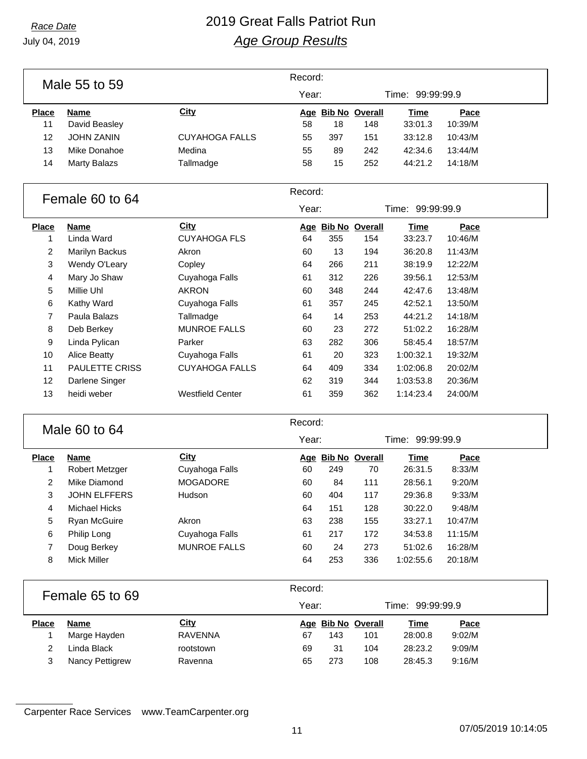# *Race Date* 2019 Great Falls Patriot Run *Age Group Results*

|                |                       |                         | Record: |     |                    |                  |         |  |
|----------------|-----------------------|-------------------------|---------|-----|--------------------|------------------|---------|--|
|                | Male 55 to 59         |                         | Year:   |     |                    | Time: 99:99:99.9 |         |  |
| <b>Place</b>   | <b>Name</b>           | <b>City</b>             |         |     | Age Bib No Overall | <b>Time</b>      | Pace    |  |
| 11             | David Beasley         |                         | 58      | 18  | 148                | 33:01.3          | 10:39/M |  |
| 12             | <b>JOHN ZANIN</b>     | <b>CUYAHOGA FALLS</b>   | 55      | 397 | 151                | 33:12.8          | 10:43/M |  |
| 13             | Mike Donahoe          | Medina                  | 55      | 89  | 242                | 42:34.6          | 13:44/M |  |
| 14             | <b>Marty Balazs</b>   | Tallmadge               | 58      | 15  | 252                | 44:21.2          | 14:18/M |  |
|                | Female 60 to 64       |                         | Record: |     |                    |                  |         |  |
|                |                       |                         | Year:   |     |                    | Time: 99:99:99.9 |         |  |
| <b>Place</b>   | <b>Name</b>           | <b>City</b>             |         |     | Age Bib No Overall | <b>Time</b>      | Pace    |  |
| $\mathbf{1}$   | Linda Ward            | <b>CUYAHOGA FLS</b>     | 64      | 355 | 154                | 33:23.7          | 10:46/M |  |
| $\overline{2}$ | Marilyn Backus        | Akron                   | 60      | 13  | 194                | 36:20.8          | 11:43/M |  |
| 3              | Wendy O'Leary         | Copley                  | 64      | 266 | 211                | 38:19.9          | 12:22/M |  |
| 4              | Mary Jo Shaw          | Cuyahoga Falls          | 61      | 312 | 226                | 39:56.1          | 12:53/M |  |
| 5              | Millie Uhl            | <b>AKRON</b>            | 60      | 348 | 244                | 42:47.6          | 13:48/M |  |
| 6              | Kathy Ward            | Cuyahoga Falls          | 61      | 357 | 245                | 42:52.1          | 13:50/M |  |
| $\overline{7}$ | Paula Balazs          | Tallmadge               | 64      | 14  | 253                | 44:21.2          | 14:18/M |  |
| 8              | Deb Berkey            | <b>MUNROE FALLS</b>     | 60      | 23  | 272                | 51:02.2          | 16:28/M |  |
| 9              | Linda Pylican         | Parker                  | 63      | 282 | 306                | 58:45.4          | 18:57/M |  |
| 10             | <b>Alice Beatty</b>   | Cuyahoga Falls          | 61      | 20  | 323                | 1:00:32.1        | 19:32/M |  |
| 11             | PAULETTE CRISS        | <b>CUYAHOGA FALLS</b>   | 64      | 409 | 334                | 1:02:06.8        | 20:02/M |  |
| 12             | Darlene Singer        |                         | 62      | 319 | 344                | 1:03:53.8        | 20:36/M |  |
| 13             | heidi weber           | <b>Westfield Center</b> | 61      | 359 | 362                | 1:14:23.4        | 24:00/M |  |
|                | Male 60 to 64         |                         | Record: |     |                    |                  |         |  |
|                |                       |                         | Year:   |     |                    | Time: 99:99:99.9 |         |  |
| <b>Place</b>   | <b>Name</b>           | City                    |         |     | Age Bib No Overall | <b>Time</b>      | Pace    |  |
| 1              | <b>Robert Metzger</b> | Cuyahoga Falls          | 60      | 249 | 70                 | 26:31.5          | 8:33/M  |  |
| 2              | Mike Diamond          | <b>MOGADORE</b>         | 60      | 84  | 111                | 28:56.1          | 9:20/M  |  |
| 3              | <b>JOHN ELFFERS</b>   | Hudson                  | 60      | 404 | 117                | 29:36.8          | 9:33/M  |  |
| 4              | <b>Michael Hicks</b>  |                         | 64      | 151 | 128                | 30:22.0          | 9:48/M  |  |
| 5              | Ryan McGuire          | Akron                   | 63      | 238 | 155                | 33:27.1          | 10:47/M |  |
| 6              | Philip Long           | Cuyahoga Falls          | 61      | 217 | 172                | 34:53.8          | 11:15/M |  |
| $\overline{7}$ | Doug Berkey           | <b>MUNROE FALLS</b>     | 60      | 24  | 273                | 51:02.6          | 16:28/M |  |
| 8              | <b>Mick Miller</b>    |                         | 64      | 253 | 336                | 1:02:55.6        | 20:18/M |  |
|                | Female 65 to 69       |                         | Record: |     |                    |                  |         |  |
|                |                       |                         | Year:   |     |                    | Time: 99:99:99.9 |         |  |
| <b>Place</b>   | <b>Name</b>           | City                    |         |     | Age Bib No Overall | <b>Time</b>      | Pace    |  |
| $\mathbf{1}$   | Marge Hayden          | <b>RAVENNA</b>          | 67      | 143 | 101                | 28:00.8          | 9:02/M  |  |
| $\overline{c}$ | Linda Black           | rootstown               | 69      | 31  | 104                | 28:23.2          | 9:09/M  |  |
| 3              | Nancy Pettigrew       | Ravenna                 | 65      | 273 | 108                | 28:45.3          | 9:16/M  |  |
|                |                       |                         |         |     |                    |                  |         |  |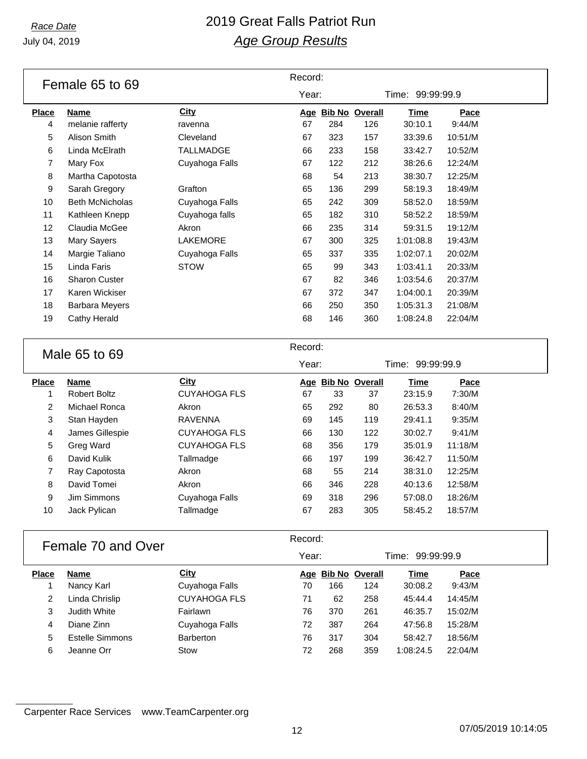# *Race Date* 2019 Great Falls Patriot Run *Age Group Results*

| Year:<br>Time: 99:99:99.9<br><b>City</b><br><b>Place</b><br><b>Bib No Overall</b><br><u>Time</u><br>Name<br>Pace<br><u>Age</u><br>67<br>284<br>126<br>30:10.1<br>9:44/M<br>4<br>melanie rafferty<br>ravenna<br>5<br>Alison Smith<br>Cleveland<br>67<br>323<br>157<br>33:39.6<br>10:51/M<br>6<br>Linda McElrath<br>TALLMADGE<br>66<br>233<br>158<br>33:42.7<br>10:52/M<br>Mary Fox<br>Cuyahoga Falls<br>67<br>122<br>212<br>38:26.6<br>12:24/M<br>7<br>8<br>Martha Capotosta<br>68<br>54<br>213<br>38:30.7<br>12:25/M<br>9<br>Sarah Gregory<br>65<br>136<br>299<br>18:49/M<br>Grafton<br>58:19.3<br><b>Beth McNicholas</b><br>10<br>Cuyahoga Falls<br>65<br>242<br>309<br>58:52.0<br>18:59/M<br>Cuyahoga falls<br>65<br>182<br>310<br>58:52.2<br>18:59/M<br>11<br>Kathleen Knepp<br>Claudia McGee<br>19:12/M<br>12<br>66<br>235<br>314<br>59:31.5<br>Akron<br>13<br>LAKEMORE<br>67<br>325<br>1:01:08.8<br>19:43/M<br>Mary Sayers<br>300<br>14<br>Margie Taliano<br>Cuyahoga Falls<br>65<br>337<br>335<br>1:02:07.1<br>20:02/M<br>15<br><b>STOW</b><br>65<br>99<br>343<br>1:03:41.1<br>20:33/M<br>Linda Faris<br>16<br><b>Sharon Custer</b><br>67<br>82<br>346<br>1:03:54.6<br>20:37/M<br>17<br>Karen Wickiser<br>67<br>372<br>1:04:00.1<br>20:39/M<br>347<br>66<br>1:05:31.3<br>21:08/M<br>18<br><b>Barbara Meyers</b><br>250<br>350 | Female 65 to 69 |  |  | Record: |  |  |  |  |  |
|-------------------------------------------------------------------------------------------------------------------------------------------------------------------------------------------------------------------------------------------------------------------------------------------------------------------------------------------------------------------------------------------------------------------------------------------------------------------------------------------------------------------------------------------------------------------------------------------------------------------------------------------------------------------------------------------------------------------------------------------------------------------------------------------------------------------------------------------------------------------------------------------------------------------------------------------------------------------------------------------------------------------------------------------------------------------------------------------------------------------------------------------------------------------------------------------------------------------------------------------------------------------------------------------------------------------------------------|-----------------|--|--|---------|--|--|--|--|--|
|                                                                                                                                                                                                                                                                                                                                                                                                                                                                                                                                                                                                                                                                                                                                                                                                                                                                                                                                                                                                                                                                                                                                                                                                                                                                                                                                     |                 |  |  |         |  |  |  |  |  |
|                                                                                                                                                                                                                                                                                                                                                                                                                                                                                                                                                                                                                                                                                                                                                                                                                                                                                                                                                                                                                                                                                                                                                                                                                                                                                                                                     |                 |  |  |         |  |  |  |  |  |
|                                                                                                                                                                                                                                                                                                                                                                                                                                                                                                                                                                                                                                                                                                                                                                                                                                                                                                                                                                                                                                                                                                                                                                                                                                                                                                                                     |                 |  |  |         |  |  |  |  |  |
|                                                                                                                                                                                                                                                                                                                                                                                                                                                                                                                                                                                                                                                                                                                                                                                                                                                                                                                                                                                                                                                                                                                                                                                                                                                                                                                                     |                 |  |  |         |  |  |  |  |  |
|                                                                                                                                                                                                                                                                                                                                                                                                                                                                                                                                                                                                                                                                                                                                                                                                                                                                                                                                                                                                                                                                                                                                                                                                                                                                                                                                     |                 |  |  |         |  |  |  |  |  |
|                                                                                                                                                                                                                                                                                                                                                                                                                                                                                                                                                                                                                                                                                                                                                                                                                                                                                                                                                                                                                                                                                                                                                                                                                                                                                                                                     |                 |  |  |         |  |  |  |  |  |
|                                                                                                                                                                                                                                                                                                                                                                                                                                                                                                                                                                                                                                                                                                                                                                                                                                                                                                                                                                                                                                                                                                                                                                                                                                                                                                                                     |                 |  |  |         |  |  |  |  |  |
|                                                                                                                                                                                                                                                                                                                                                                                                                                                                                                                                                                                                                                                                                                                                                                                                                                                                                                                                                                                                                                                                                                                                                                                                                                                                                                                                     |                 |  |  |         |  |  |  |  |  |
|                                                                                                                                                                                                                                                                                                                                                                                                                                                                                                                                                                                                                                                                                                                                                                                                                                                                                                                                                                                                                                                                                                                                                                                                                                                                                                                                     |                 |  |  |         |  |  |  |  |  |
|                                                                                                                                                                                                                                                                                                                                                                                                                                                                                                                                                                                                                                                                                                                                                                                                                                                                                                                                                                                                                                                                                                                                                                                                                                                                                                                                     |                 |  |  |         |  |  |  |  |  |
|                                                                                                                                                                                                                                                                                                                                                                                                                                                                                                                                                                                                                                                                                                                                                                                                                                                                                                                                                                                                                                                                                                                                                                                                                                                                                                                                     |                 |  |  |         |  |  |  |  |  |
|                                                                                                                                                                                                                                                                                                                                                                                                                                                                                                                                                                                                                                                                                                                                                                                                                                                                                                                                                                                                                                                                                                                                                                                                                                                                                                                                     |                 |  |  |         |  |  |  |  |  |
|                                                                                                                                                                                                                                                                                                                                                                                                                                                                                                                                                                                                                                                                                                                                                                                                                                                                                                                                                                                                                                                                                                                                                                                                                                                                                                                                     |                 |  |  |         |  |  |  |  |  |
|                                                                                                                                                                                                                                                                                                                                                                                                                                                                                                                                                                                                                                                                                                                                                                                                                                                                                                                                                                                                                                                                                                                                                                                                                                                                                                                                     |                 |  |  |         |  |  |  |  |  |
|                                                                                                                                                                                                                                                                                                                                                                                                                                                                                                                                                                                                                                                                                                                                                                                                                                                                                                                                                                                                                                                                                                                                                                                                                                                                                                                                     |                 |  |  |         |  |  |  |  |  |
|                                                                                                                                                                                                                                                                                                                                                                                                                                                                                                                                                                                                                                                                                                                                                                                                                                                                                                                                                                                                                                                                                                                                                                                                                                                                                                                                     |                 |  |  |         |  |  |  |  |  |
|                                                                                                                                                                                                                                                                                                                                                                                                                                                                                                                                                                                                                                                                                                                                                                                                                                                                                                                                                                                                                                                                                                                                                                                                                                                                                                                                     |                 |  |  |         |  |  |  |  |  |
| 68<br>1:08:24.8<br>22:04/M<br>19<br>Cathy Herald<br>146<br>360                                                                                                                                                                                                                                                                                                                                                                                                                                                                                                                                                                                                                                                                                                                                                                                                                                                                                                                                                                                                                                                                                                                                                                                                                                                                      |                 |  |  |         |  |  |  |  |  |

| Male 65 to 69 |                     |                     | Record: |                    |     |                  |         |  |
|---------------|---------------------|---------------------|---------|--------------------|-----|------------------|---------|--|
|               |                     |                     | Year:   |                    |     | Time: 99:99:99.9 |         |  |
| <b>Place</b>  | Name                | City                |         | Age Bib No Overall |     | <b>Time</b>      | Pace    |  |
|               | <b>Robert Boltz</b> | <b>CUYAHOGA FLS</b> | 67      | 33                 | 37  | 23:15.9          | 7:30/M  |  |
| 2             | Michael Ronca       | Akron               | 65      | 292                | 80  | 26:53.3          | 8:40/M  |  |
| 3             | Stan Hayden         | <b>RAVENNA</b>      | 69      | 145                | 119 | 29:41.1          | 9:35/M  |  |
| 4             | James Gillespie     | <b>CUYAHOGA FLS</b> | 66      | 130                | 122 | 30:02.7          | 9:41/M  |  |
| 5             | Greg Ward           | <b>CUYAHOGA FLS</b> | 68      | 356                | 179 | 35:01.9          | 11:18/M |  |
| 6             | David Kulik         | Tallmadge           | 66      | 197                | 199 | 36:42.7          | 11:50/M |  |
| 7             | Ray Capotosta       | Akron               | 68      | 55                 | 214 | 38:31.0          | 12:25/M |  |
| 8             | David Tomei         | Akron               | 66      | 346                | 228 | 40:13.6          | 12:58/M |  |
| 9             | Jim Simmons         | Cuyahoga Falls      | 69      | 318                | 296 | 57:08.0          | 18:26/M |  |
| 10            | Jack Pylican        | Tallmadge           | 67      | 283                | 305 | 58:45.2          | 18:57/M |  |
|               |                     |                     |         |                    |     |                  |         |  |

#### Female 70 and Over

| Record: |  |
|---------|--|
|         |  |

|              |                 |                     | Year: |     |                    | Time: 99:99:99.9 |         |  |
|--------------|-----------------|---------------------|-------|-----|--------------------|------------------|---------|--|
| <b>Place</b> | <b>Name</b>     | City                |       |     | Age Bib No Overall | Time             | Pace    |  |
|              | Nancy Karl      | Cuyahoga Falls      | 70    | 166 | 124                | 30:08.2          | 9:43/M  |  |
| 2            | Linda Chrislip  | <b>CUYAHOGA FLS</b> | 71    | 62  | 258                | 45:44.4          | 14:45/M |  |
| 3            | Judith White    | Fairlawn            | 76    | 370 | 261                | 46:35.7          | 15:02/M |  |
| 4            | Diane Zinn      | Cuyahoga Falls      | 72    | 387 | 264                | 47:56.8          | 15:28/M |  |
| 5            | Estelle Simmons | <b>Barberton</b>    | 76    | 317 | 304                | 58:42.7          | 18:56/M |  |
| 6            | Jeanne Orr      | Stow                | 72    | 268 | 359                | 1:08:24.5        | 22:04/M |  |